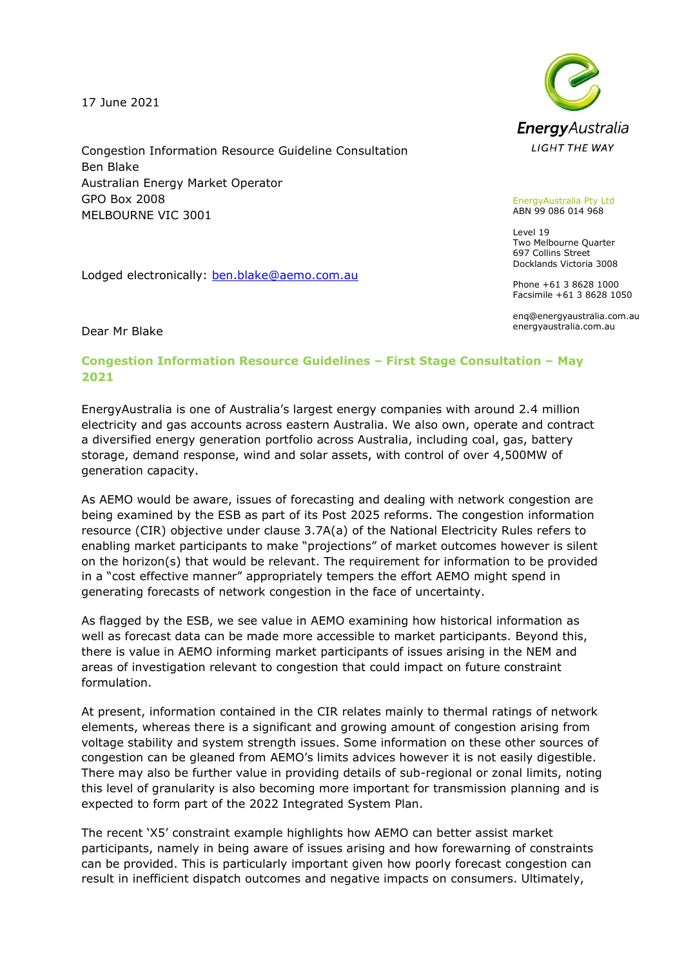17 June 2021

Congestion Information Resource Guideline Consultation Ben Blake Australian Energy Market Operator GPO Box 2008 MELBOURNE VIC 3001

Lodged electronically: [ben.blake@aemo.com.au](mailto:ben.blake@aemo.com.au)



## EnergyAustralia Pty Ltd ABN 99 086 014 968

Level 19 Two Melbourne Quarter 697 Collins Street Docklands Victoria 3008

Phone +61 3 8628 1000 Facsimile +61 3 8628 1050

enq@energyaustralia.com.au energyaustralia.com.au

Dear Mr Blake

## **Congestion Information Resource Guidelines – First Stage Consultation – May 2021**

EnergyAustralia is one of Australia's largest energy companies with around 2.4 million electricity and gas accounts across eastern Australia. We also own, operate and contract a diversified energy generation portfolio across Australia, including coal, gas, battery storage, demand response, wind and solar assets, with control of over 4,500MW of generation capacity.

As AEMO would be aware, issues of forecasting and dealing with network congestion are being examined by the ESB as part of its Post 2025 reforms. The congestion information resource (CIR) objective under clause 3.7A(a) of the National Electricity Rules refers to enabling market participants to make "projections" of market outcomes however is silent on the horizon(s) that would be relevant. The requirement for information to be provided in a "cost effective manner" appropriately tempers the effort AEMO might spend in generating forecasts of network congestion in the face of uncertainty.

As flagged by the ESB, we see value in AEMO examining how historical information as well as forecast data can be made more accessible to market participants. Beyond this, there is value in AEMO informing market participants of issues arising in the NEM and areas of investigation relevant to congestion that could impact on future constraint formulation.

At present, information contained in the CIR relates mainly to thermal ratings of network elements, whereas there is a significant and growing amount of congestion arising from voltage stability and system strength issues. Some information on these other sources of congestion can be gleaned from AEMO's limits advices however it is not easily digestible. There may also be further value in providing details of sub-regional or zonal limits, noting this level of granularity is also becoming more important for transmission planning and is expected to form part of the 2022 Integrated System Plan.

The recent 'X5' constraint example highlights how AEMO can better assist market participants, namely in being aware of issues arising and how forewarning of constraints can be provided. This is particularly important given how poorly forecast congestion can result in inefficient dispatch outcomes and negative impacts on consumers. Ultimately,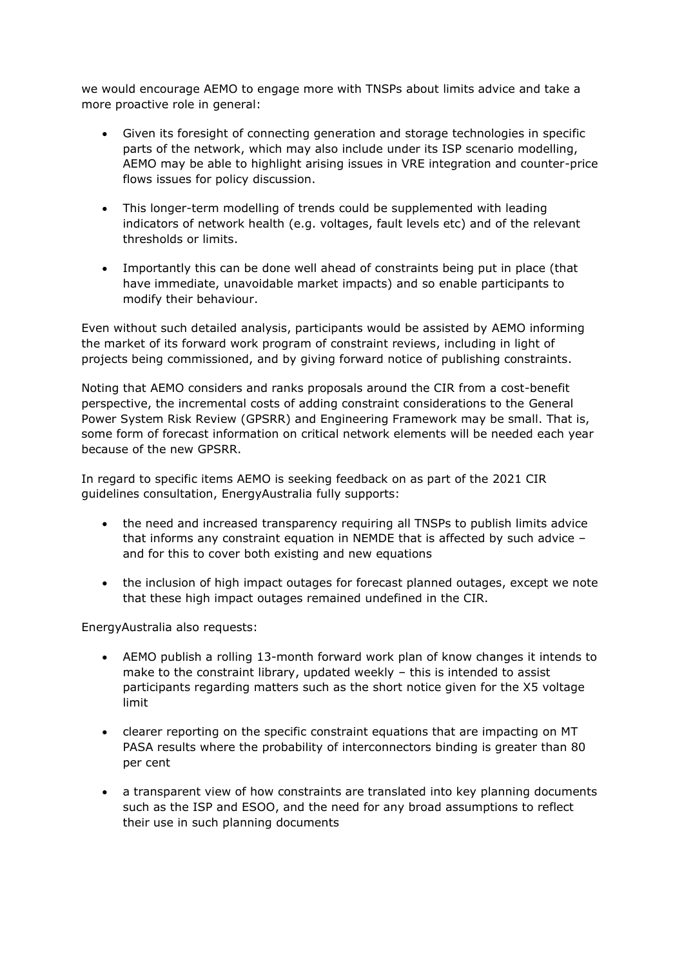we would encourage AEMO to engage more with TNSPs about limits advice and take a more proactive role in general:

- Given its foresight of connecting generation and storage technologies in specific parts of the network, which may also include under its ISP scenario modelling, AEMO may be able to highlight arising issues in VRE integration and counter-price flows issues for policy discussion.
- This longer-term modelling of trends could be supplemented with leading indicators of network health (e.g. voltages, fault levels etc) and of the relevant thresholds or limits.
- Importantly this can be done well ahead of constraints being put in place (that have immediate, unavoidable market impacts) and so enable participants to modify their behaviour.

Even without such detailed analysis, participants would be assisted by AEMO informing the market of its forward work program of constraint reviews, including in light of projects being commissioned, and by giving forward notice of publishing constraints.

Noting that AEMO considers and ranks proposals around the CIR from a cost-benefit perspective, the incremental costs of adding constraint considerations to the General Power System Risk Review (GPSRR) and Engineering Framework may be small. That is, some form of forecast information on critical network elements will be needed each year because of the new GPSRR.

In regard to specific items AEMO is seeking feedback on as part of the 2021 CIR guidelines consultation, EnergyAustralia fully supports:

- the need and increased transparency requiring all TNSPs to publish limits advice that informs any constraint equation in NEMDE that is affected by such advice – and for this to cover both existing and new equations
- the inclusion of high impact outages for forecast planned outages, except we note that these high impact outages remained undefined in the CIR.

EnergyAustralia also requests:

- AEMO publish a rolling 13-month forward work plan of know changes it intends to make to the constraint library, updated weekly – this is intended to assist participants regarding matters such as the short notice given for the X5 voltage limit
- clearer reporting on the specific constraint equations that are impacting on MT PASA results where the probability of interconnectors binding is greater than 80 per cent
- a transparent view of how constraints are translated into key planning documents such as the ISP and ESOO, and the need for any broad assumptions to reflect their use in such planning documents